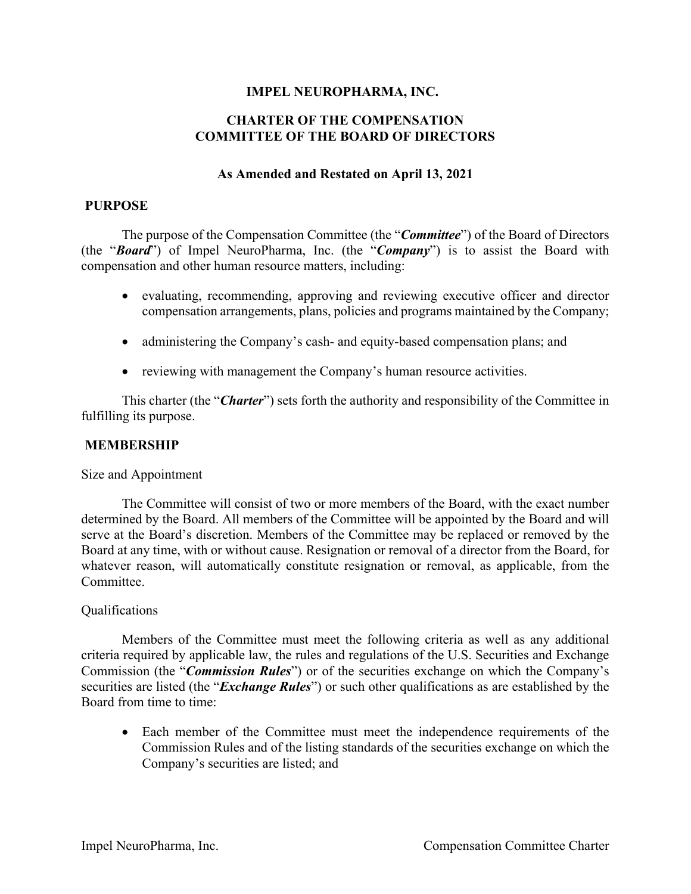# **IMPEL NEUROPHARMA, INC.**

# **CHARTER OF THE COMPENSATION COMMITTEE OF THE BOARD OF DIRECTORS**

#### **As Amended and Restated on April 13, 2021**

#### **PURPOSE**

The purpose of the Compensation Committee (the "*Committee*") of the Board of Directors (the "*Board*") of Impel NeuroPharma, Inc. (the "*Company*") is to assist the Board with compensation and other human resource matters, including:

- evaluating, recommending, approving and reviewing executive officer and director compensation arrangements, plans, policies and programs maintained by the Company;
- administering the Company's cash- and equity-based compensation plans; and
- reviewing with management the Company's human resource activities.

This charter (the "*Charter*") sets forth the authority and responsibility of the Committee in fulfilling its purpose.

### **MEMBERSHIP**

#### Size and Appointment

The Committee will consist of two or more members of the Board, with the exact number determined by the Board. All members of the Committee will be appointed by the Board and will serve at the Board's discretion. Members of the Committee may be replaced or removed by the Board at any time, with or without cause. Resignation or removal of a director from the Board, for whatever reason, will automatically constitute resignation or removal, as applicable, from the Committee.

#### Qualifications

Members of the Committee must meet the following criteria as well as any additional criteria required by applicable law, the rules and regulations of the U.S. Securities and Exchange Commission (the "*Commission Rules*") or of the securities exchange on which the Company's securities are listed (the "*Exchange Rules*") or such other qualifications as are established by the Board from time to time:

• Each member of the Committee must meet the independence requirements of the Commission Rules and of the listing standards of the securities exchange on which the Company's securities are listed; and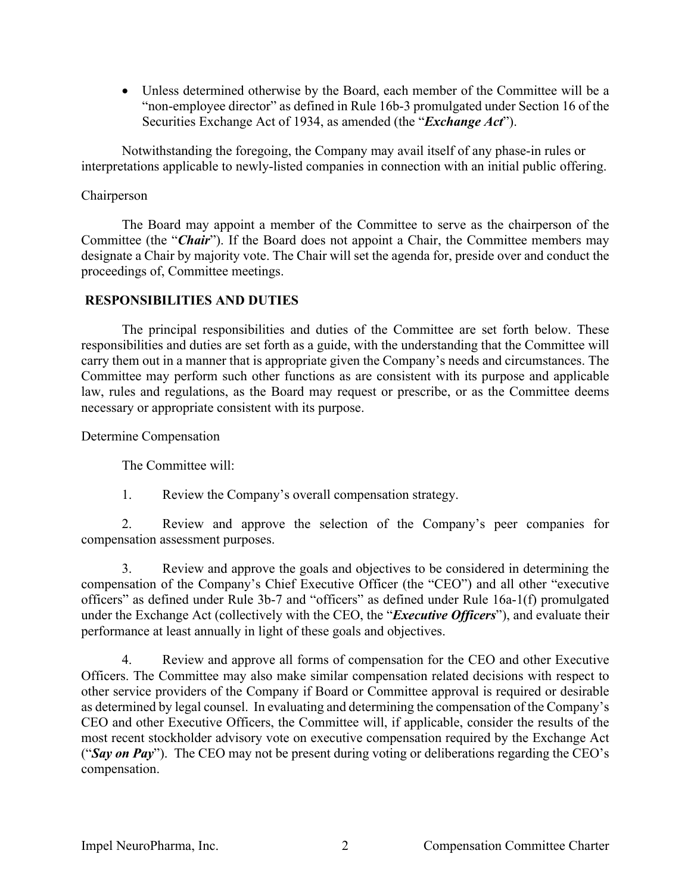• Unless determined otherwise by the Board, each member of the Committee will be a "non-employee director" as defined in Rule 16b-3 promulgated under Section 16 of the Securities Exchange Act of 1934, as amended (the "*Exchange Act*").

Notwithstanding the foregoing, the Company may avail itself of any phase-in rules or interpretations applicable to newly-listed companies in connection with an initial public offering.

# Chairperson

The Board may appoint a member of the Committee to serve as the chairperson of the Committee (the "*Chair*"). If the Board does not appoint a Chair, the Committee members may designate a Chair by majority vote. The Chair will set the agenda for, preside over and conduct the proceedings of, Committee meetings.

#### **RESPONSIBILITIES AND DUTIES**

The principal responsibilities and duties of the Committee are set forth below. These responsibilities and duties are set forth as a guide, with the understanding that the Committee will carry them out in a manner that is appropriate given the Company's needs and circumstances. The Committee may perform such other functions as are consistent with its purpose and applicable law, rules and regulations, as the Board may request or prescribe, or as the Committee deems necessary or appropriate consistent with its purpose.

Determine Compensation

The Committee will:

1. Review the Company's overall compensation strategy.

2. Review and approve the selection of the Company's peer companies for compensation assessment purposes.

3. Review and approve the goals and objectives to be considered in determining the compensation of the Company's Chief Executive Officer (the "CEO") and all other "executive officers" as defined under Rule 3b-7 and "officers" as defined under Rule 16a-1(f) promulgated under the Exchange Act (collectively with the CEO, the "*Executive Officers*"), and evaluate their performance at least annually in light of these goals and objectives.

4. Review and approve all forms of compensation for the CEO and other Executive Officers. The Committee may also make similar compensation related decisions with respect to other service providers of the Company if Board or Committee approval is required or desirable as determined by legal counsel. In evaluating and determining the compensation of the Company's CEO and other Executive Officers, the Committee will, if applicable, consider the results of the most recent stockholder advisory vote on executive compensation required by the Exchange Act ("*Say on Pay*"). The CEO may not be present during voting or deliberations regarding the CEO's compensation.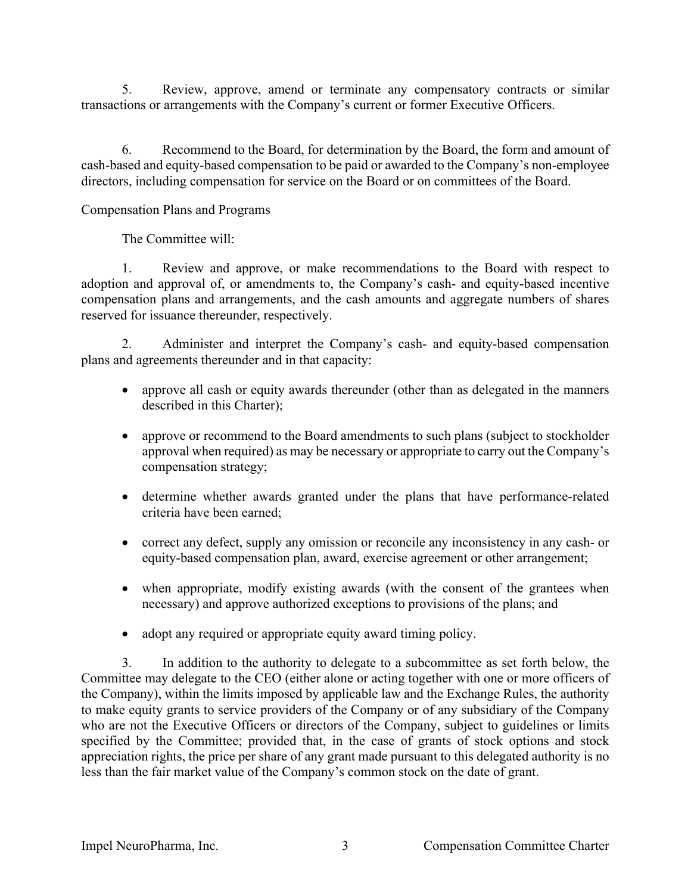5. Review, approve, amend or terminate any compensatory contracts or similar transactions or arrangements with the Company's current or former Executive Officers.

6. Recommend to the Board, for determination by the Board, the form and amount of cash-based and equity-based compensation to be paid or awarded to the Company's non-employee directors, including compensation for service on the Board or on committees of the Board.

Compensation Plans and Programs

The Committee will:

1. Review and approve, or make recommendations to the Board with respect to adoption and approval of, or amendments to, the Company's cash- and equity-based incentive compensation plans and arrangements, and the cash amounts and aggregate numbers of shares reserved for issuance thereunder, respectively.

2. Administer and interpret the Company's cash- and equity-based compensation plans and agreements thereunder and in that capacity:

- approve all cash or equity awards thereunder (other than as delegated in the manners described in this Charter);
- approve or recommend to the Board amendments to such plans (subject to stockholder approval when required) as may be necessary or appropriate to carry out the Company's compensation strategy;
- determine whether awards granted under the plans that have performance-related criteria have been earned;
- correct any defect, supply any omission or reconcile any inconsistency in any cash- or equity-based compensation plan, award, exercise agreement or other arrangement;
- when appropriate, modify existing awards (with the consent of the grantees when necessary) and approve authorized exceptions to provisions of the plans; and
- adopt any required or appropriate equity award timing policy.

3. In addition to the authority to delegate to a subcommittee as set forth below, the Committee may delegate to the CEO (either alone or acting together with one or more officers of the Company), within the limits imposed by applicable law and the Exchange Rules, the authority to make equity grants to service providers of the Company or of any subsidiary of the Company who are not the Executive Officers or directors of the Company, subject to guidelines or limits specified by the Committee; provided that, in the case of grants of stock options and stock appreciation rights, the price per share of any grant made pursuant to this delegated authority is no less than the fair market value of the Company's common stock on the date of grant.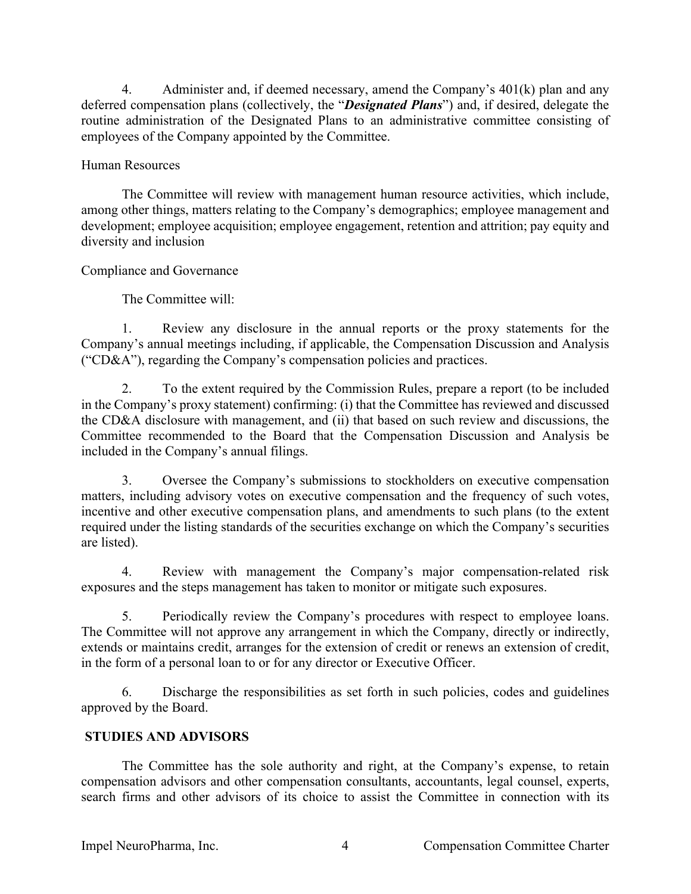4. Administer and, if deemed necessary, amend the Company's 401(k) plan and any deferred compensation plans (collectively, the "*Designated Plans*") and, if desired, delegate the routine administration of the Designated Plans to an administrative committee consisting of employees of the Company appointed by the Committee.

# Human Resources

The Committee will review with management human resource activities, which include, among other things, matters relating to the Company's demographics; employee management and development; employee acquisition; employee engagement, retention and attrition; pay equity and diversity and inclusion

# Compliance and Governance

The Committee will:

1. Review any disclosure in the annual reports or the proxy statements for the Company's annual meetings including, if applicable, the Compensation Discussion and Analysis ("CD&A"), regarding the Company's compensation policies and practices.

2. To the extent required by the Commission Rules, prepare a report (to be included in the Company's proxy statement) confirming: (i) that the Committee has reviewed and discussed the CD&A disclosure with management, and (ii) that based on such review and discussions, the Committee recommended to the Board that the Compensation Discussion and Analysis be included in the Company's annual filings.

3. Oversee the Company's submissions to stockholders on executive compensation matters, including advisory votes on executive compensation and the frequency of such votes, incentive and other executive compensation plans, and amendments to such plans (to the extent required under the listing standards of the securities exchange on which the Company's securities are listed).

4. Review with management the Company's major compensation-related risk exposures and the steps management has taken to monitor or mitigate such exposures.

5. Periodically review the Company's procedures with respect to employee loans. The Committee will not approve any arrangement in which the Company, directly or indirectly, extends or maintains credit, arranges for the extension of credit or renews an extension of credit, in the form of a personal loan to or for any director or Executive Officer.

6. Discharge the responsibilities as set forth in such policies, codes and guidelines approved by the Board.

# **STUDIES AND ADVISORS**

The Committee has the sole authority and right, at the Company's expense, to retain compensation advisors and other compensation consultants, accountants, legal counsel, experts, search firms and other advisors of its choice to assist the Committee in connection with its